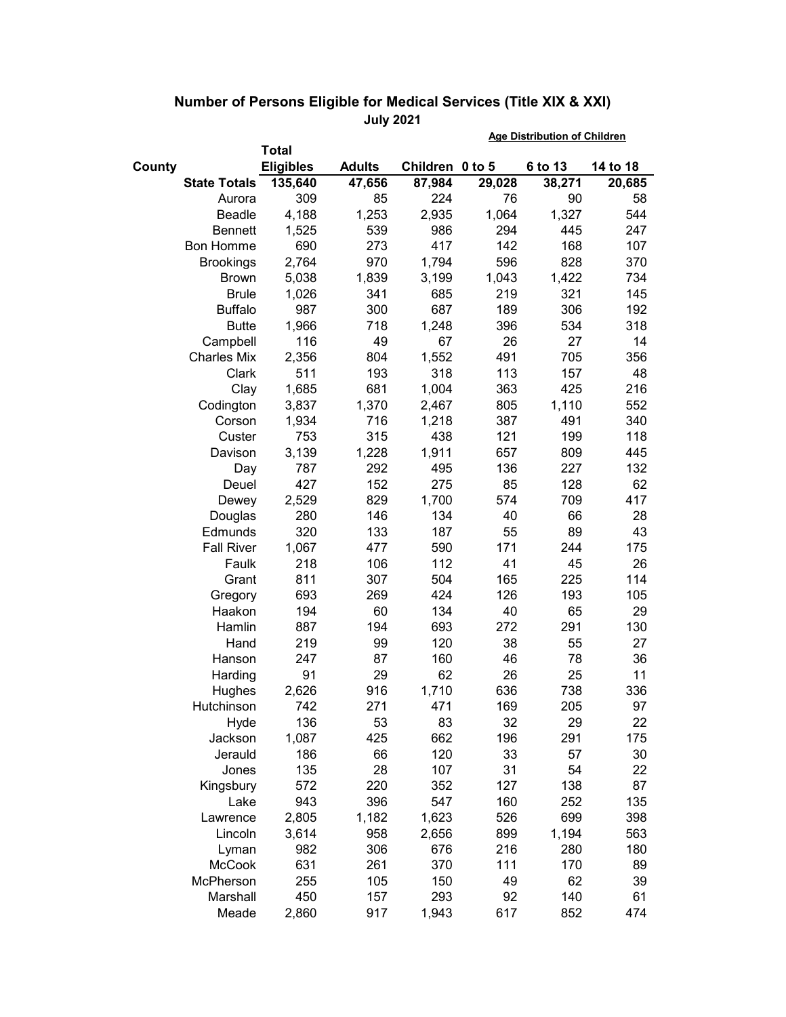|        |                     |                  |               |                 | <b>Age Distribution of Children</b> |         |          |
|--------|---------------------|------------------|---------------|-----------------|-------------------------------------|---------|----------|
|        |                     | Total            |               |                 |                                     |         |          |
| County |                     | <b>Eligibles</b> | <b>Adults</b> | Children 0 to 5 |                                     | 6 to 13 | 14 to 18 |
|        | <b>State Totals</b> | 135,640          | 47,656        | 87,984          | 29,028                              | 38,271  | 20,685   |
|        | Aurora              | 309              | 85            | 224             | 76                                  | 90      | 58       |
|        | Beadle              | 4,188            | 1,253         | 2,935           | 1,064                               | 1,327   | 544      |
|        | <b>Bennett</b>      | 1,525            | 539           | 986             | 294                                 | 445     | 247      |
|        | <b>Bon Homme</b>    | 690              | 273           | 417             | 142                                 | 168     | 107      |
|        | <b>Brookings</b>    | 2,764            | 970           | 1,794           | 596                                 | 828     | 370      |
|        | <b>Brown</b>        | 5,038            | 1,839         | 3,199           | 1,043                               | 1,422   | 734      |
|        | <b>Brule</b>        | 1,026            | 341           | 685             | 219                                 | 321     | 145      |
|        | <b>Buffalo</b>      | 987              | 300           | 687             | 189                                 | 306     | 192      |
|        | <b>Butte</b>        | 1,966            | 718           | 1,248           | 396                                 | 534     | 318      |
|        | Campbell            | 116              | 49            | 67              | 26                                  | 27      | 14       |
|        | <b>Charles Mix</b>  | 2,356            | 804           | 1,552           | 491                                 | 705     | 356      |
|        | Clark               | 511              | 193           | 318             | 113                                 | 157     | 48       |
|        | Clay                | 1,685            | 681           | 1,004           | 363                                 | 425     | 216      |
|        | Codington           | 3,837            | 1,370         | 2,467           | 805                                 | 1,110   | 552      |
|        | Corson              | 1,934            | 716           | 1,218           | 387                                 | 491     | 340      |
|        | Custer              | 753              | 315           | 438             | 121                                 | 199     | 118      |
|        | Davison             | 3,139            | 1,228         | 1,911           | 657                                 | 809     | 445      |
|        | Day                 | 787              | 292           | 495             | 136                                 | 227     | 132      |
|        | Deuel               | 427              | 152           | 275             | 85                                  | 128     | 62       |
|        | Dewey               | 2,529            | 829           | 1,700           | 574                                 | 709     | 417      |
|        | Douglas             | 280              | 146           | 134             | 40                                  | 66      | 28       |
|        | Edmunds             | 320              | 133           | 187             | 55                                  | 89      | 43       |
|        | <b>Fall River</b>   | 1,067            | 477           | 590             | 171                                 | 244     | 175      |
|        | Faulk               | 218              | 106           | 112             | 41                                  | 45      | 26       |
|        | Grant               | 811              | 307           | 504             | 165                                 | 225     | 114      |
|        | Gregory             | 693              | 269           | 424             | 126                                 | 193     | 105      |
|        | Haakon              | 194              | 60            | 134             | 40                                  | 65      | 29       |
|        | Hamlin              | 887              | 194           | 693             | 272                                 | 291     | 130      |
|        | Hand                | 219              | 99            | 120             | 38                                  | 55      | 27       |
|        | Hanson              | 247              | 87            | 160             | 46                                  | 78      | 36       |
|        | Harding             | 91               | 29            | 62              | 26                                  | 25      | 11       |
|        | Hughes              | 2,626            | 916           | 1,710           | 636                                 | 738     | 336      |
|        | Hutchinson          | 742              | 271           | 471             | 169                                 | 205     | 97       |
|        | Hyde                | 136              | 53            | 83              | 32                                  | 29      | 22       |
|        | Jackson             | 1,087            | 425           | 662             | 196                                 | 291     | 175      |
|        | Jerauld             | 186              | 66            | 120             | 33                                  | 57      | 30       |
|        | Jones               | 135              | 28            | 107             | 31                                  | 54      | 22       |
|        | Kingsbury           | 572              | 220           | 352             | 127                                 | 138     | 87       |
|        | Lake                | 943              | 396           | 547             | 160                                 | 252     | 135      |
|        | Lawrence            | 2,805            | 1,182         | 1,623           | 526                                 | 699     | 398      |
|        | Lincoln             | 3,614            | 958           | 2,656           | 899                                 | 1,194   | 563      |
|        |                     | 982              | 306           | 676             | 216                                 | 280     | 180      |
|        | Lyman               |                  |               |                 |                                     |         |          |
|        | <b>McCook</b>       | 631              | 261           | 370             | 111                                 | 170     | 89       |
|        | McPherson           | 255              | 105           | 150             | 49                                  | 62      | 39       |
|        | Marshall            | 450              | 157           | 293             | 92                                  | 140     | 61       |
|        | Meade               | 2,860            | 917           | 1,943           | 617                                 | 852     | 474      |

## **Number of Persons Eligible for Medical Services (Title XIX & XXI) July 2021**